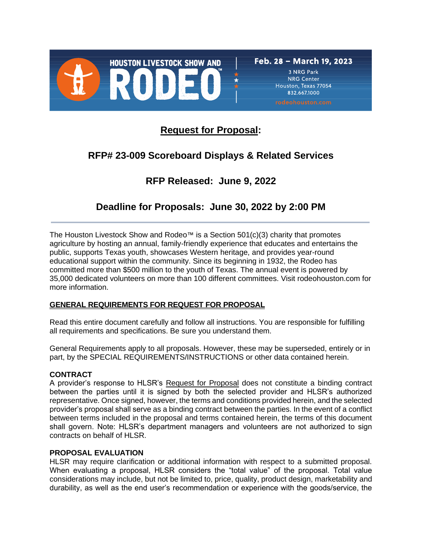

832,667,1000

**Request for Proposal:**

# **RFP# 23-009 Scoreboard Displays & Related Services**

# **RFP Released: June 9, 2022**

# **Deadline for Proposals: June 30, 2022 by 2:00 PM**

The Houston Livestock Show and Rodeo™ is a Section  $501(c)(3)$  charity that promotes agriculture by hosting an annual, family-friendly experience that educates and entertains the public, supports Texas youth, showcases Western heritage, and provides year-round educational support within the community. Since its beginning in 1932, the Rodeo has committed more than \$500 million to the youth of Texas. The annual event is powered by 35,000 dedicated volunteers on more than 100 different committees. Visit rodeohouston.com for more information.

# **GENERAL REQUIREMENTS FOR REQUEST FOR PROPOSAL**

Read this entire document carefully and follow all instructions. You are responsible for fulfilling all requirements and specifications. Be sure you understand them.

General Requirements apply to all proposals. However, these may be superseded, entirely or in part, by the SPECIAL REQUIREMENTS/INSTRUCTIONS or other data contained herein.

## **CONTRACT**

A provider's response to HLSR's Request for Proposal does not constitute a binding contract between the parties until it is signed by both the selected provider and HLSR's authorized representative. Once signed, however, the terms and conditions provided herein, and the selected provider's proposal shall serve as a binding contract between the parties. In the event of a conflict between terms included in the proposal and terms contained herein, the terms of this document shall govern. Note: HLSR's department managers and volunteers are not authorized to sign contracts on behalf of HLSR.

#### **PROPOSAL EVALUATION**

HLSR may require clarification or additional information with respect to a submitted proposal. When evaluating a proposal, HLSR considers the "total value" of the proposal. Total value considerations may include, but not be limited to, price, quality, product design, marketability and durability, as well as the end user's recommendation or experience with the goods/service, the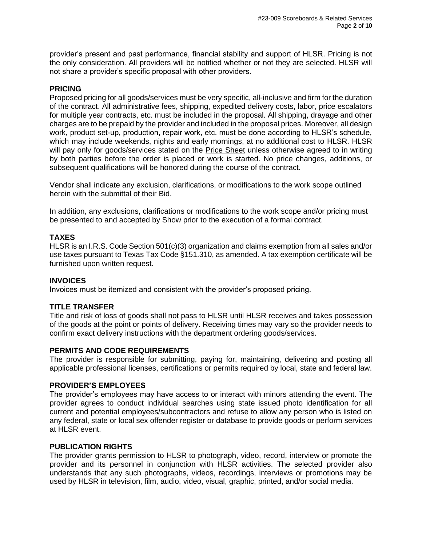provider's present and past performance, financial stability and support of HLSR. Pricing is not the only consideration. All providers will be notified whether or not they are selected. HLSR will not share a provider's specific proposal with other providers.

## **PRICING**

Proposed pricing for all goods/services must be very specific, all-inclusive and firm for the duration of the contract. All administrative fees, shipping, expedited delivery costs, labor, price escalators for multiple year contracts, etc. must be included in the proposal. All shipping, drayage and other charges are to be prepaid by the provider and included in the proposal prices. Moreover, all design work, product set-up, production, repair work, etc. must be done according to HLSR's schedule, which may include weekends, nights and early mornings, at no additional cost to HLSR. HLSR will pay only for goods/services stated on the **Price Sheet unless otherwise agreed to in writing** by both parties before the order is placed or work is started. No price changes, additions, or subsequent qualifications will be honored during the course of the contract.

Vendor shall indicate any exclusion, clarifications, or modifications to the work scope outlined herein with the submittal of their Bid.

In addition, any exclusions, clarifications or modifications to the work scope and/or pricing must be presented to and accepted by Show prior to the execution of a formal contract.

## **TAXES**

HLSR is an I.R.S. Code Section 501(c)(3) organization and claims exemption from all sales and/or use taxes pursuant to Texas Tax Code §151.310, as amended. A tax exemption certificate will be furnished upon written request.

#### **INVOICES**

Invoices must be itemized and consistent with the provider's proposed pricing.

#### **TITLE TRANSFER**

Title and risk of loss of goods shall not pass to HLSR until HLSR receives and takes possession of the goods at the point or points of delivery. Receiving times may vary so the provider needs to confirm exact delivery instructions with the department ordering goods/services.

#### **PERMITS AND CODE REQUIREMENTS**

The provider is responsible for submitting, paying for, maintaining, delivering and posting all applicable professional licenses, certifications or permits required by local, state and federal law.

#### **PROVIDER'S EMPLOYEES**

The provider's employees may have access to or interact with minors attending the event. The provider agrees to conduct individual searches using state issued photo identification for all current and potential employees/subcontractors and refuse to allow any person who is listed on any federal, state or local sex offender register or database to provide goods or perform services at HLSR event.

#### **PUBLICATION RIGHTS**

The provider grants permission to HLSR to photograph, video, record, interview or promote the provider and its personnel in conjunction with HLSR activities. The selected provider also understands that any such photographs, videos, recordings, interviews or promotions may be used by HLSR in television, film, audio, video, visual, graphic, printed, and/or social media.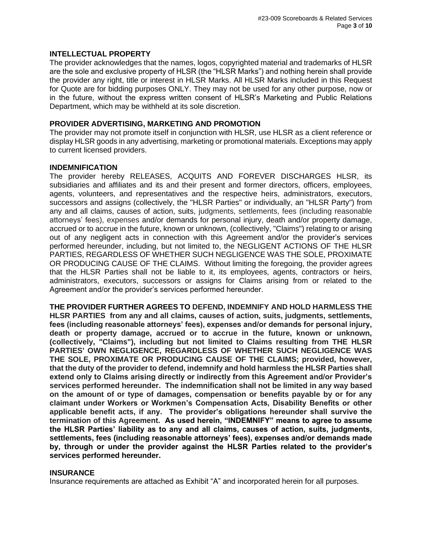#### **INTELLECTUAL PROPERTY**

The provider acknowledges that the names, logos, copyrighted material and trademarks of HLSR are the sole and exclusive property of HLSR (the "HLSR Marks") and nothing herein shall provide the provider any right, title or interest in HLSR Marks. All HLSR Marks included in this Request for Quote are for bidding purposes ONLY. They may not be used for any other purpose, now or in the future, without the express written consent of HLSR's Marketing and Public Relations Department, which may be withheld at its sole discretion.

#### **PROVIDER ADVERTISING, MARKETING AND PROMOTION**

The provider may not promote itself in conjunction with HLSR, use HLSR as a client reference or display HLSR goods in any advertising, marketing or promotional materials. Exceptions may apply to current licensed providers.

### **INDEMNIFICATION**

The provider hereby RELEASES, ACQUITS AND FOREVER DISCHARGES HLSR, its subsidiaries and affiliates and its and their present and former directors, officers, employees, agents, volunteers, and representatives and the respective heirs, administrators, executors, successors and assigns (collectively, the "HLSR Parties" or individually, an "HLSR Party") from any and all claims, causes of action, suits, judgments, settlements, fees (including reasonable attorneys' fees), expenses and/or demands for personal injury, death and/or property damage, accrued or to accrue in the future, known or unknown, (collectively, "Claims") relating to or arising out of any negligent acts in connection with this Agreement and/or the provider's services performed hereunder, including, but not limited to, the NEGLIGENT ACTIONS OF THE HLSR PARTIES, REGARDLESS OF WHETHER SUCH NEGLIGENCE WAS THE SOLE, PROXIMATE OR PRODUCING CAUSE OF THE CLAIMS. Without limiting the foregoing, the provider agrees that the HLSR Parties shall not be liable to it, its employees, agents, contractors or heirs, administrators, executors, successors or assigns for Claims arising from or related to the Agreement and/or the provider's services performed hereunder.

**THE PROVIDER FURTHER AGREES TO DEFEND, INDEMNIFY AND HOLD HARMLESS THE HLSR PARTIES from any and all claims, causes of action, suits, judgments, settlements, fees (including reasonable attorneys' fees), expenses and/or demands for personal injury, death or property damage, accrued or to accrue in the future, known or unknown, (collectively, "Claims"), including but not limited to Claims resulting from THE HLSR PARTIES' OWN NEGLIGENCE, REGARDLESS OF WHETHER SUCH NEGLIGENCE WAS THE SOLE, PROXIMATE OR PRODUCING CAUSE OF THE CLAIMS; provided, however, that the duty of the provider to defend, indemnify and hold harmless the HLSR Parties shall extend only to Claims arising directly or indirectly from this Agreement and/or Provider's services performed hereunder. The indemnification shall not be limited in any way based on the amount of or type of damages, compensation or benefits payable by or for any claimant under Workers or Workmen's Compensation Acts, Disability Benefits or other applicable benefit acts, if any. The provider's obligations hereunder shall survive the termination of this Agreement. As used herein, "INDEMNIFY" means to agree to assume the HLSR Parties' liability as to any and all claims, causes of action, suits, judgments, settlements, fees (including reasonable attorneys' fees), expenses and/or demands made by, through or under the provider against the HLSR Parties related to the provider's services performed hereunder.**

#### **INSURANCE**

Insurance requirements are attached as Exhibit "A" and incorporated herein for all purposes.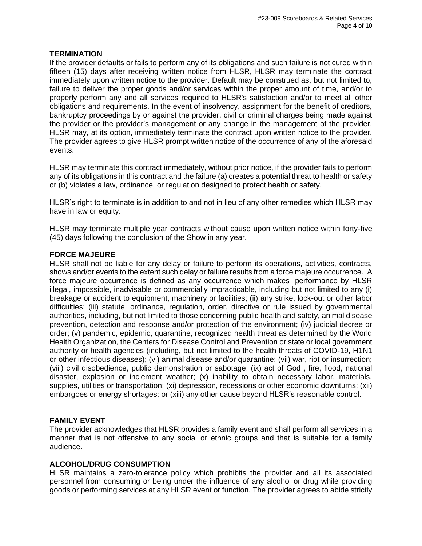## **TERMINATION**

If the provider defaults or fails to perform any of its obligations and such failure is not cured within fifteen (15) days after receiving written notice from HLSR, HLSR may terminate the contract immediately upon written notice to the provider. Default may be construed as, but not limited to, failure to deliver the proper goods and/or services within the proper amount of time, and/or to properly perform any and all services required to HLSR's satisfaction and/or to meet all other obligations and requirements. In the event of insolvency, assignment for the benefit of creditors, bankruptcy proceedings by or against the provider, civil or criminal charges being made against the provider or the provider's management or any change in the management of the provider, HLSR may, at its option, immediately terminate the contract upon written notice to the provider. The provider agrees to give HLSR prompt written notice of the occurrence of any of the aforesaid events.

HLSR may terminate this contract immediately, without prior notice, if the provider fails to perform any of its obligations in this contract and the failure (a) creates a potential threat to health or safety or (b) violates a law, ordinance, or regulation designed to protect health or safety.

HLSR's right to terminate is in addition to and not in lieu of any other remedies which HLSR may have in law or equity.

HLSR may terminate multiple year contracts without cause upon written notice within forty-five (45) days following the conclusion of the Show in any year.

## **FORCE MAJEURE**

HLSR shall not be liable for any delay or failure to perform its operations, activities, contracts, shows and/or events to the extent such delay or failure results from a force majeure occurrence. A force majeure occurrence is defined as any occurrence which makes performance by HLSR illegal, impossible, inadvisable or commercially impracticable, including but not limited to any (i) breakage or accident to equipment, machinery or facilities; (ii) any strike, lock-out or other labor difficulties; (iii) statute, ordinance, regulation, order, directive or rule issued by governmental authorities, including, but not limited to those concerning public health and safety, animal disease prevention, detection and response and/or protection of the environment; (iv) judicial decree or order; (v) pandemic, epidemic, quarantine, recognized health threat as determined by the World Health Organization, the Centers for Disease Control and Prevention or state or local government authority or health agencies (including, but not limited to the health threats of COVID-19, H1N1 or other infectious diseases); (vi) animal disease and/or quarantine; (vii) war, riot or insurrection; (viii) civil disobedience, public demonstration or sabotage; (ix) act of God , fire, flood, national disaster, explosion or inclement weather; (x) inability to obtain necessary labor, materials, supplies, utilities or transportation; (xi) depression, recessions or other economic downturns; (xii) embargoes or energy shortages; or (xiii) any other cause beyond HLSR's reasonable control.

## **FAMILY EVENT**

The provider acknowledges that HLSR provides a family event and shall perform all services in a manner that is not offensive to any social or ethnic groups and that is suitable for a family audience.

## **ALCOHOL/DRUG CONSUMPTION**

HLSR maintains a zero-tolerance policy which prohibits the provider and all its associated personnel from consuming or being under the influence of any alcohol or drug while providing goods or performing services at any HLSR event or function. The provider agrees to abide strictly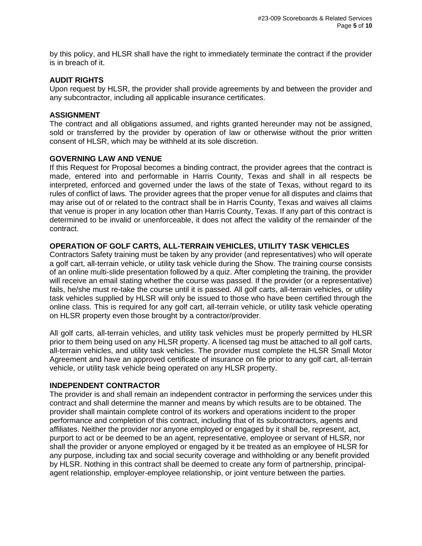by this policy, and HLSR shall have the right to immediately terminate the contract if the provider is in breach of it.

#### **AUDIT RIGHTS**

Upon request by HLSR, the provider shall provide agreements by and between the provider and any subcontractor, including all applicable insurance certificates.

#### **ASSIGNMENT**

The contract and all obligations assumed, and rights granted hereunder may not be assigned, sold or transferred by the provider by operation of law or otherwise without the prior written consent of HLSR, which may be withheld at its sole discretion.

#### **GOVERNING LAW AND VENUE**

If this Request for Proposal becomes a binding contract, the provider agrees that the contract is made, entered into and performable in Harris County, Texas and shall in all respects be interpreted, enforced and governed under the laws of the state of Texas, without regard to its rules of conflict of laws. The provider agrees that the proper venue for all disputes and claims that may arise out of or related to the contract shall be in Harris County, Texas and waives all claims that venue is proper in any location other than Harris County, Texas. If any part of this contract is determined to be invalid or unenforceable, it does not affect the validity of the remainder of the contract.

## **OPERATION OF GOLF CARTS, ALL-TERRAIN VEHICLES, UTILITY TASK VEHICLES**

Contractors Safety training must be taken by any provider (and representatives) who will operate a golf cart, all-terrain vehicle, or utility task vehicle during the Show. The training course consists of an online multi-slide presentation followed by a quiz. After completing the training, the provider will receive an email stating whether the course was passed. If the provider (or a representative) fails, he/she must re-take the course until it is passed. All golf carts, all-terrain vehicles, or utility task vehicles supplied by HLSR will only be issued to those who have been certified through the online class. This is required for any golf cart, all-terrain vehicle, or utility task vehicle operating on HLSR property even those brought by a contractor/provider.

All golf carts, all-terrain vehicles, and utility task vehicles must be properly permitted by HLSR prior to them being used on any HLSR property. A licensed tag must be attached to all golf carts, all-terrain vehicles, and utility task vehicles. The provider must complete the HLSR Small Motor Agreement and have an approved certificate of insurance on file prior to any golf cart, all-terrain vehicle, or utility task vehicle being operated on any HLSR property.

#### **INDEPENDENT CONTRACTOR**

The provider is and shall remain an independent contractor in performing the services under this contract and shall determine the manner and means by which results are to be obtained. The provider shall maintain complete control of its workers and operations incident to the proper performance and completion of this contract, including that of its subcontractors, agents and affiliates. Neither the provider nor anyone employed or engaged by it shall be, represent, act, purport to act or be deemed to be an agent, representative, employee or servant of HLSR, nor shall the provider or anyone employed or engaged by it be treated as an employee of HLSR for any purpose, including tax and social security coverage and withholding or any benefit provided by HLSR. Nothing in this contract shall be deemed to create any form of partnership, principalagent relationship, employer-employee relationship, or joint venture between the parties.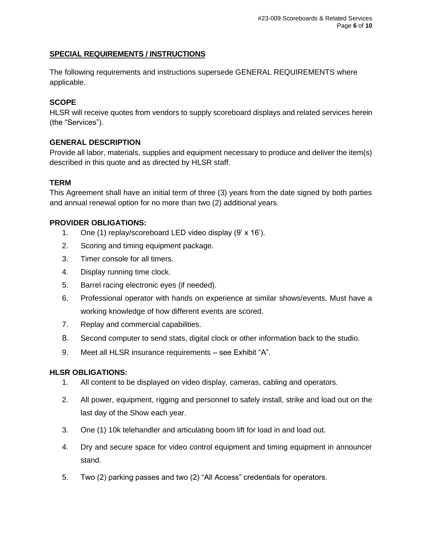# **SPECIAL REQUIREMENTS / INSTRUCTIONS**

The following requirements and instructions supersede GENERAL REQUIREMENTS where applicable.

# **SCOPE**

HLSR will receive quotes from vendors to supply scoreboard displays and related services herein (the "Services").

## **GENERAL DESCRIPTION**

Provide all labor, materials, supplies and equipment necessary to produce and deliver the item(s) described in this quote and as directed by HLSR staff.

# **TERM**

This Agreement shall have an initial term of three (3) years from the date signed by both parties and annual renewal option for no more than two (2) additional years.

# **PROVIDER OBLIGATIONS:**

- 1. One (1) replay/scoreboard LED video display (9' x 16').
- 2. Scoring and timing equipment package.
- 3. Timer console for all timers.
- 4. Display running time clock.
- 5. Barrel racing electronic eyes (if needed).
- 6. Professional operator with hands on experience at similar shows/events. Must have a working knowledge of how different events are scored.
- 7. Replay and commercial capabilities.
- 8. Second computer to send stats, digital clock or other information back to the studio.
- 9. Meet all HLSR insurance requirements see Exhibit "A".

## **HLSR OBLIGATIONS:**

- 1. All content to be displayed on video display, cameras, cabling and operators.
- 2. All power, equipment, rigging and personnel to safely install, strike and load out on the last day of the Show each year.
- 3. One (1) 10k telehandler and articulating boom lift for load in and load out.
- 4. Dry and secure space for video control equipment and timing equipment in announcer stand.
- 5. Two (2) parking passes and two (2) "All Access" credentials for operators.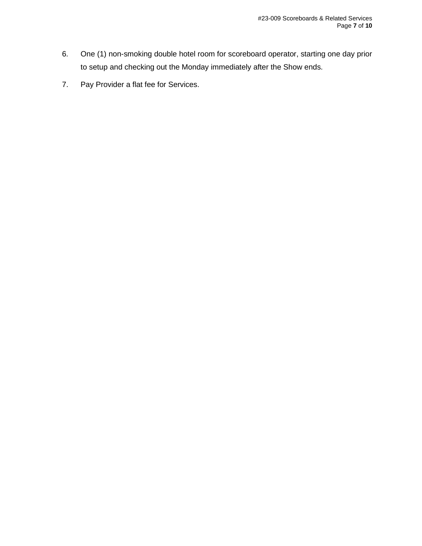- 6. One (1) non-smoking double hotel room for scoreboard operator, starting one day prior to setup and checking out the Monday immediately after the Show ends.
- 7. Pay Provider a flat fee for Services.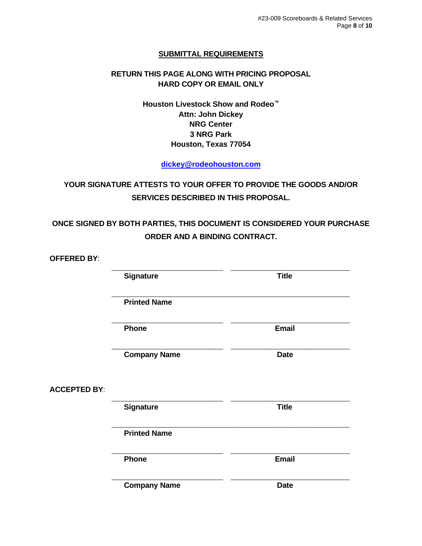## **SUBMITTAL REQUIREMENTS**

## **RETURN THIS PAGE ALONG WITH PRICING PROPOSAL HARD COPY OR EMAIL ONLY**

**Houston Livestock Show and Rodeo™ Attn: John Dickey NRG Center 3 NRG Park Houston, Texas 77054**

**[dickey@rodeohouston.com](mailto:dickey@rodeohouston.com)**

**YOUR SIGNATURE ATTESTS TO YOUR OFFER TO PROVIDE THE GOODS AND/OR SERVICES DESCRIBED IN THIS PROPOSAL.**

**ONCE SIGNED BY BOTH PARTIES, THIS DOCUMENT IS CONSIDERED YOUR PURCHASE ORDER AND A BINDING CONTRACT.**

| <b>OFFERED BY:</b>  |                     |              |
|---------------------|---------------------|--------------|
|                     | <b>Signature</b>    | <b>Title</b> |
|                     | <b>Printed Name</b> |              |
|                     | Phone               | <b>Email</b> |
|                     | <b>Company Name</b> | <b>Date</b>  |
| <b>ACCEPTED BY:</b> |                     |              |
|                     | <b>Signature</b>    | <b>Title</b> |
|                     | <b>Printed Name</b> |              |
|                     | <b>Phone</b>        | <b>Email</b> |
|                     | <b>Company Name</b> | <b>Date</b>  |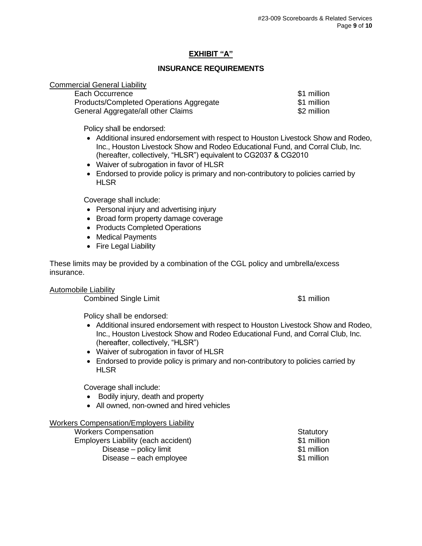# **EXHIBIT "A"**

## **INSURANCE REQUIREMENTS**

#### Commercial General Liability

| Each Occurrence                         | \$1 million |
|-----------------------------------------|-------------|
| Products/Completed Operations Aggregate | \$1 million |
| General Aggregate/all other Claims      | \$2 million |

Policy shall be endorsed:

- Additional insured endorsement with respect to Houston Livestock Show and Rodeo, Inc., Houston Livestock Show and Rodeo Educational Fund, and Corral Club, Inc. (hereafter, collectively, "HLSR") equivalent to CG2037 & CG2010
- Waiver of subrogation in favor of HLSR
- Endorsed to provide policy is primary and non-contributory to policies carried by **HLSR**

Coverage shall include:

- Personal injury and advertising injury
- Broad form property damage coverage
- Products Completed Operations
- Medical Payments
- Fire Legal Liability

These limits may be provided by a combination of the CGL policy and umbrella/excess insurance.

Automobile Liability

**Combined Single Limit 1988 Combined Single Limit 31 million** 

Policy shall be endorsed:

- Additional insured endorsement with respect to Houston Livestock Show and Rodeo, Inc., Houston Livestock Show and Rodeo Educational Fund, and Corral Club, Inc. (hereafter, collectively, "HLSR")
- Waiver of subrogation in favor of HLSR
- Endorsed to provide policy is primary and non-contributory to policies carried by **HLSR**

Coverage shall include:

- Bodily injury, death and property
- All owned, non-owned and hired vehicles

### Workers Compensation/Employers Liability

| <b>Workers Compensation</b>         | Statutory   |
|-------------------------------------|-------------|
| Employers Liability (each accident) | \$1 million |
| Disease – policy limit              | \$1 million |
| Disease – each employee             | \$1 million |